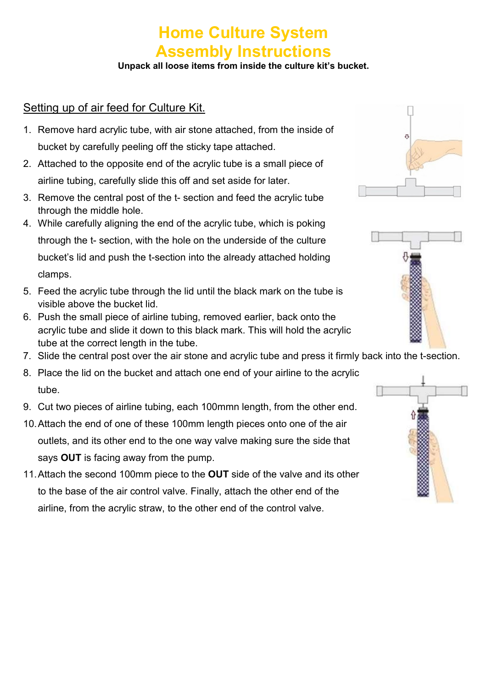# Home Culture System Assembly Instructions

Unpack all loose items from inside the culture kit's bucket.

### Setting up of air feed for Culture Kit.

- 1. Remove hard acrylic tube, with air stone attached, from the inside of bucket by carefully peeling off the sticky tape attached.
- 2. Attached to the opposite end of the acrylic tube is a small piece of airline tubing, carefully slide this off and set aside for later.
- 3. Remove the central post of the t- section and feed the acrylic tube through the middle hole.
- 4. While carefully aligning the end of the acrylic tube, which is poking through the t- section, with the hole on the underside of the culture bucket's lid and push the t-section into the already attached holding clamps.
- 5. Feed the acrylic tube through the lid until the black mark on the tube is visible above the bucket lid.
- 6. Push the small piece of airline tubing, removed earlier, back onto the acrylic tube and slide it down to this black mark. This will hold the acrylic tube at the correct length in the tube.
- 7. Slide the central post over the air stone and acrylic tube and press it firmly back into the t-section.
- 8. Place the lid on the bucket and attach one end of your airline to the acrylic tube.
- 9. Cut two pieces of airline tubing, each 100mmn length, from the other end.
- 10. Attach the end of one of these 100mm length pieces onto one of the air outlets, and its other end to the one way valve making sure the side that says OUT is facing away from the pump.
- 11. Attach the second 100mm piece to the OUT side of the valve and its other to the base of the air control valve. Finally, attach the other end of the airline, from the acrylic straw, to the other end of the control valve.





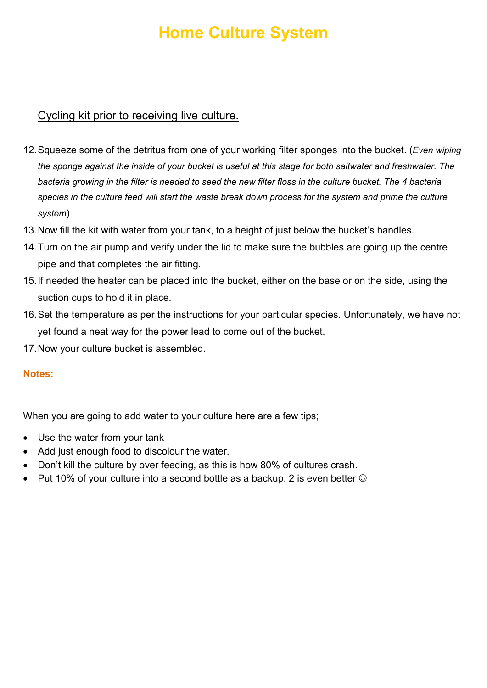# Home Culture System

### Cycling kit prior to receiving live culture.

- 12. Squeeze some of the detritus from one of your working filter sponges into the bucket. (*Even wiping* the sponge against the inside of your bucket is useful at this stage for both saltwater and freshwater. The bacteria growing in the filter is needed to seed the new filter floss in the culture bucket. The 4 bacteria species in the culture feed will start the waste break down process for the system and prime the culture system)
- 13. Now fill the kit with water from your tank, to a height of just below the bucket's handles.
- 14. Turn on the air pump and verify under the lid to make sure the bubbles are going up the centre pipe and that completes the air fitting.
- 15. If needed the heater can be placed into the bucket, either on the base or on the side, using the suction cups to hold it in place.
- 16. Set the temperature as per the instructions for your particular species. Unfortunately, we have not yet found a neat way for the power lead to come out of the bucket.
- 17. Now your culture bucket is assembled.

### Notes:

When you are going to add water to your culture here are a few tips;

- Use the water from your tank
- Add just enough food to discolour the water.
- Don't kill the culture by over feeding, as this is how 80% of cultures crash.
- Put 10% of your culture into a second bottle as a backup. 2 is even better  $\odot$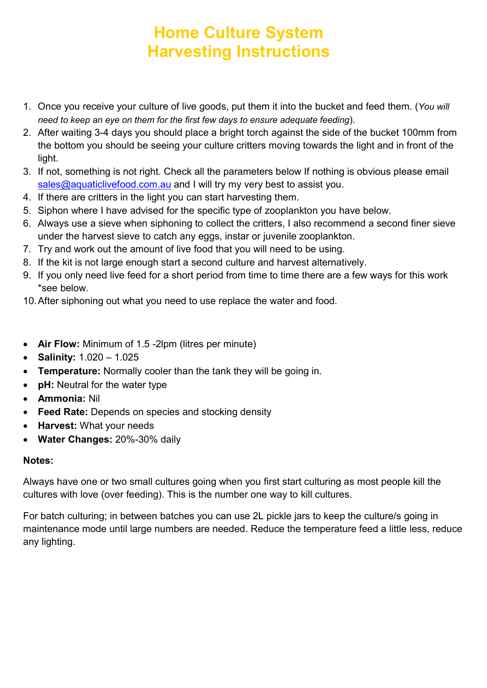# Home Culture System Harvesting Instructions

- 1. Once you receive your culture of live goods, put them it into the bucket and feed them. (You will need to keep an eye on them for the first few days to ensure adequate feeding).
- 2. After waiting 3-4 days you should place a bright torch against the side of the bucket 100mm from the bottom you should be seeing your culture critters moving towards the light and in front of the light.
- 3. If not, something is not right. Check all the parameters below If nothing is obvious please email sales@aquaticlivefood.com.au and I will try my very best to assist you.
- 4. If there are critters in the light you can start harvesting them.
- 5. Siphon where I have advised for the specific type of zooplankton you have below.
- 6. Always use a sieve when siphoning to collect the critters, I also recommend a second finer sieve under the harvest sieve to catch any eggs, instar or juvenile zooplankton.
- 7. Try and work out the amount of live food that you will need to be using.
- 8. If the kit is not large enough start a second culture and harvest alternatively.
- 9. If you only need live feed for a short period from time to time there are a few ways for this work \*see below.
- 10. After siphoning out what you need to use replace the water and food.
- Air Flow: Minimum of 1.5 -2lpm (litres per minute)
- Salinity:  $1.020 1.025$
- Temperature: Normally cooler than the tank they will be going in.
- pH: Neutral for the water type
- Ammonia: Nil
- Feed Rate: Depends on species and stocking density
- Harvest: What your needs
- Water Changes: 20%-30% daily

### Notes:

Always have one or two small cultures going when you first start culturing as most people kill the cultures with love (over feeding). This is the number one way to kill cultures.

For batch culturing; in between batches you can use 2L pickle jars to keep the culture/s going in maintenance mode until large numbers are needed. Reduce the temperature feed a little less, reduce any lighting.